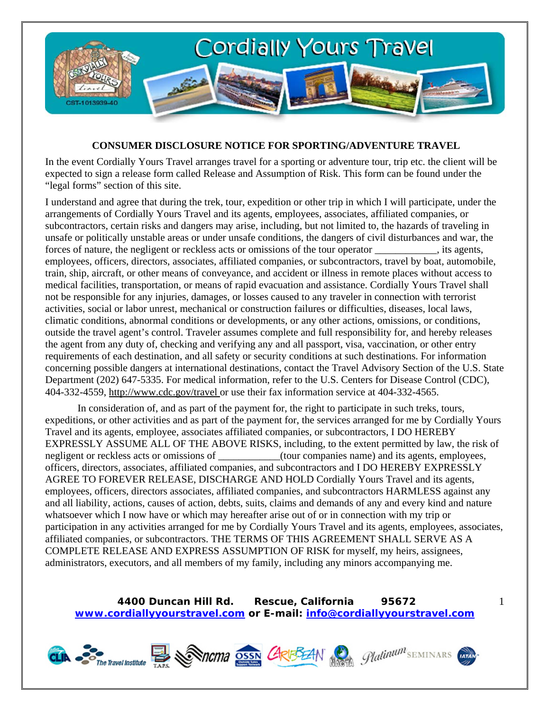

## **CONSUMER DISCLOSURE NOTICE FOR SPORTING/ADVENTURE TRAVEL**

In the event Cordially Yours Travel arranges travel for a sporting or adventure tour, trip etc. the client will be expected to sign a release form called Release and Assumption of Risk. This form can be found under the "legal forms" section of this site.

I understand and agree that during the trek, tour, expedition or other trip in which I will participate, under the arrangements of Cordially Yours Travel and its agents, employees, associates, affiliated companies, or subcontractors, certain risks and dangers may arise, including, but not limited to, the hazards of traveling in unsafe or politically unstable areas or under unsafe conditions, the dangers of civil disturbances and war, the forces of nature, the negligent or reckless acts or omissions of the tour operator \_\_\_\_\_\_\_\_\_\_\_\_, its agents, employees, officers, directors, associates, affiliated companies, or subcontractors, travel by boat, automobile, train, ship, aircraft, or other means of conveyance, and accident or illness in remote places without access to medical facilities, transportation, or means of rapid evacuation and assistance. Cordially Yours Travel shall not be responsible for any injuries, damages, or losses caused to any traveler in connection with terrorist activities, social or labor unrest, mechanical or construction failures or difficulties, diseases, local laws, climatic conditions, abnormal conditions or developments, or any other actions, omissions, or conditions, outside the travel agent's control. Traveler assumes complete and full responsibility for, and hereby releases the agent from any duty of, checking and verifying any and all passport, visa, vaccination, or other entry requirements of each destination, and all safety or security conditions at such destinations. For information concerning possible dangers at international destinations, contact the Travel Advisory Section of the U.S. State Department (202) 647-5335. For medical information, refer to the U.S. Centers for Disease Control (CDC), 404-332-4559, http://www.cdc.gov/travel or use their fax information service at 404-332-4565.

In consideration of, and as part of the payment for, the right to participate in such treks, tours, expeditions, or other activities and as part of the payment for, the services arranged for me by Cordially Yours Travel and its agents, employee, associates affiliated companies, or subcontractors, I DO HEREBY EXPRESSLY ASSUME ALL OF THE ABOVE RISKS, including, to the extent permitted by law, the risk of negligent or reckless acts or omissions of \_\_\_\_\_\_\_\_\_\_\_\_(tour companies name) and its agents, employees, officers, directors, associates, affiliated companies, and subcontractors and I DO HEREBY EXPRESSLY AGREE TO FOREVER RELEASE, DISCHARGE AND HOLD Cordially Yours Travel and its agents, employees, officers, directors associates, affiliated companies, and subcontractors HARMLESS against any and all liability, actions, causes of action, debts, suits, claims and demands of any and every kind and nature whatsoever which I now have or which may hereafter arise out of or in connection with my trip or participation in any activities arranged for me by Cordially Yours Travel and its agents, employees, associates, affiliated companies, or subcontractors. THE TERMS OF THIS AGREEMENT SHALL SERVE AS A COMPLETE RELEASE AND EXPRESS ASSUMPTION OF RISK for myself, my heirs, assignees, administrators, executors, and all members of my family, including any minors accompanying me.

**4400 Duncan Hill Rd. Rescue, California 95672 www.cordiallyyourstravel.com or E-mail: info@cordiallyyourstravel.com** 1